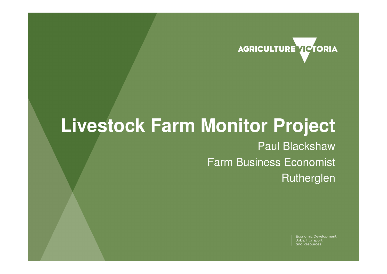

## **Livestock Farm Monitor Project**

Paul Blackshaw Farm Business Economist Rutherglen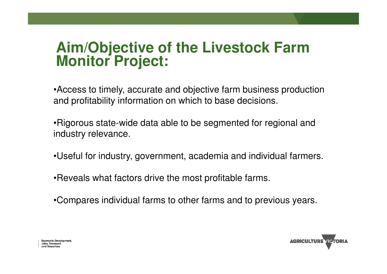# **Aim/Objective of the Livestock Farm Monitor Project:**

•Access to timely, accurate and objective farm business production and profitability information on which to base decisions.

•Rigorous state-wide data able to be segmented for regional and industry relevance.

•Useful for industry, government, academia and individual farmers.

•Reveals what factors drive the most profitable farms.

•Compares individual farms to other farms and to previous years.

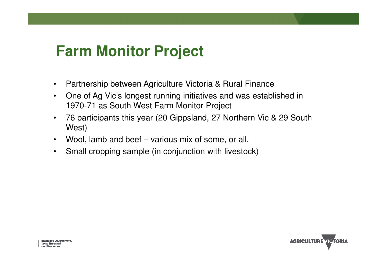## **Farm Monitor Project**

- $\bullet$ Partnership between Agriculture Victoria & Rural Finance
- One of Ag Vic's longest running initiatives and was established in •1970-71 as South West Farm Monitor Project
- • 76 participants this year (20 Gippsland, 27 Northern Vic & 29 South West)
- •Wool, lamb and beef – various mix of some, or all.
- •Small cropping sample (in conjunction with livestock)

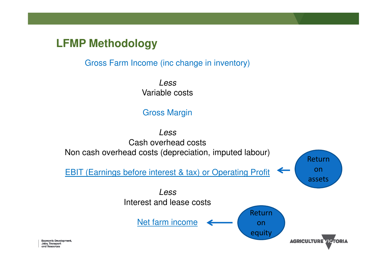#### **LFMP Methodology**

Gross Farm Income (inc change in inventory)

LessVariable costs

#### Gross Margin

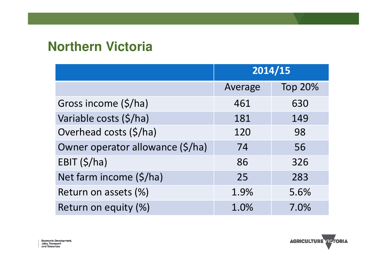### **Northern Victoria**

|                                  | 2014/15 |                |  |
|----------------------------------|---------|----------------|--|
|                                  | Average | <b>Top 20%</b> |  |
| Gross income (\$/ha)             | 461     | 630            |  |
| Variable costs (\$/ha)           | 181     | 149            |  |
| Overhead costs (\$/ha)           | 120     | 98             |  |
| Owner operator allowance (\$/ha) | 74      | 56             |  |
| EBIT $(\frac{5}{ha})$            | 86      | 326            |  |
| Net farm income (\$/ha)          | 25      | 283            |  |
| Return on assets (%)             | 1.9%    | 5.6%           |  |
| Return on equity (%)             | 1.0%    | 7.0%           |  |

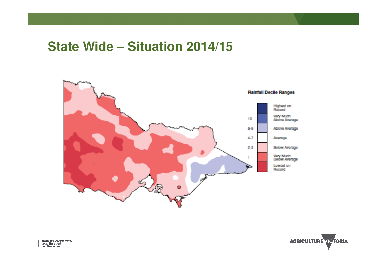#### **State Wide – Situation 2014/15**



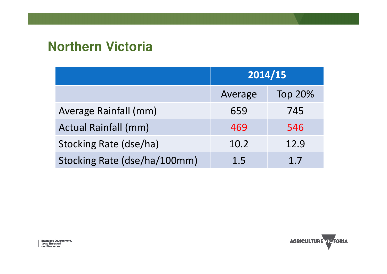### **Northern Victoria**

|                              | 2014/15 |                |  |
|------------------------------|---------|----------------|--|
|                              | Average | <b>Top 20%</b> |  |
| Average Rainfall (mm)        | 659     | 745            |  |
| <b>Actual Rainfall (mm)</b>  | 469     | 546            |  |
| Stocking Rate (dse/ha)       | 10.2    | 12.9           |  |
| Stocking Rate (dse/ha/100mm) | 1.5     | 1.7            |  |

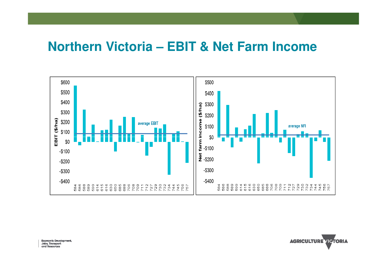#### **Northern Victoria – EBIT & Net Farm Income**



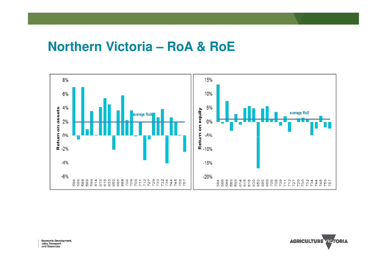#### **Northern Victoria – RoA & RoE**



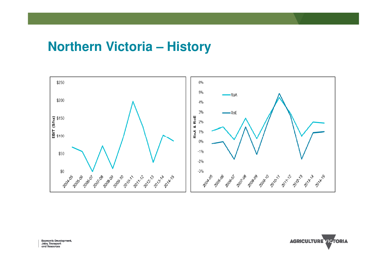#### **Northern Victoria – History**



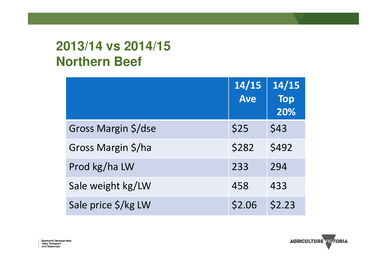## **2013/14 vs 2014/15 Northern Beef**

|                     | 14/15<br><b>Ave</b> | 14/15<br><b>Top</b><br>20% |
|---------------------|---------------------|----------------------------|
| Gross Margin \$/dse | \$25                | \$43                       |
| Gross Margin \$/ha  | \$282               | \$492                      |
| Prod kg/ha LW       | 233                 | 294                        |
| Sale weight kg/LW   | 458                 | 433                        |
| Sale price \$/kg LW | \$2.06              | \$2.23                     |



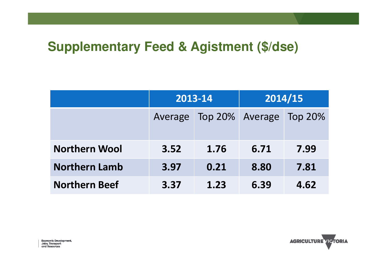### **Supplementary Feed & Agistment (\$/dse)**

|                      | 2013-14 |                 | 2014/15 |                |
|----------------------|---------|-----------------|---------|----------------|
|                      | Average | Top 20% Average |         | <b>Top 20%</b> |
| <b>Northern Wool</b> | 3.52    | 1.76            | 6.71    | 7.99           |
| <b>Northern Lamb</b> | 3.97    | 0.21            | 8.80    | 7.81           |
| <b>Northern Beef</b> | 3.37    | 1.23            | 6.39    | 4.62           |

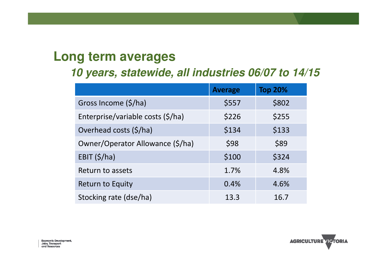#### **Long term averages**

#### **10 years, statewide, all industries 06/07 to 14/15**

|                                   | <b>Average</b> | <b>Top 20%</b> |
|-----------------------------------|----------------|----------------|
| Gross Income (\$/ha)              | \$557          | \$802          |
| Enterprise/variable costs (\$/ha) | \$226          | \$255          |
| Overhead costs (\$/ha)            | \$134          | \$133          |
| Owner/Operator Allowance (\$/ha)  | \$98           | \$89           |
| EBIT $(\frac{5}{ha})$             | \$100          | \$324          |
| Return to assets                  | 1.7%           | 4.8%           |
| <b>Return to Equity</b>           | 0.4%           | 4.6%           |
| Stocking rate (dse/ha)            | 13.3           | 16.7           |



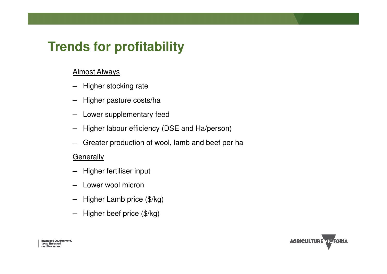## **Trends for profitability**

#### Almost Always

- Higher stocking rate
- –Higher pasture costs/ha
- –Lower supplementary feed
- Higher labour efficiency (DSE and Ha/person)
- –Greater production of wool, lamb and beef per ha

#### **Generally**

- Higher fertiliser input
- –Lower wool micron
- –Higher Lamb price (\$/kg)
- –Higher beef price (\$/kg)

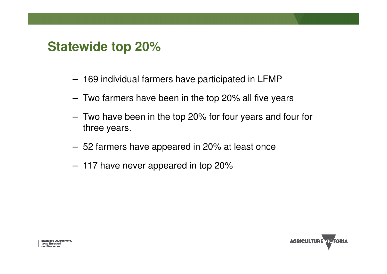#### **Statewide top 20%**

- 169 individual farmers have participated in LFMP
- Two farmers have been in the top 20% all five years
- Two have been in the top 20% for four years and four for three years.
- 52 farmers have appeared in 20% at least once
- 117 have never appeared in top 20%

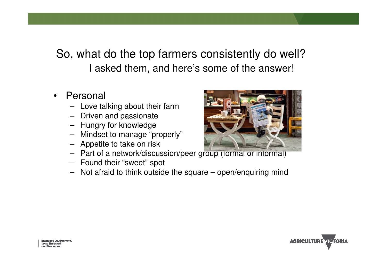#### So, what do the top farmers consistently do well?I asked them, and here's some of the answer!

- • Personal
	- Love talking about their farm
	- Driven and passionate
	- Hungry for knowledge
	- Mindset to manage "properly"
	- Appetite to take on risk
	- Part of a network/discussion/peer group (formal or informal)
	- Found their "sweet" spot
	- Not afraid to think outside the square open/enquiring mind



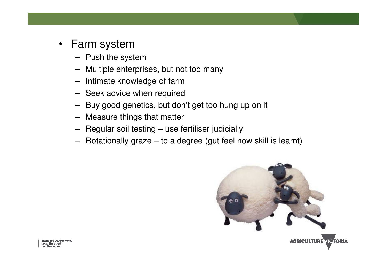- • Farm system
	- Push the system
	- Multiple enterprises, but not too many–
	- Intimate knowledge of farm
	- Seek advice when required
	- –Buy good genetics, but don't get too hung up on it
	- Measure things that matter
	- –Regular soil testing – use fertiliser judicially
	- –Rotationally graze – to a degree (gut feel now skill is learnt)



Economic Development, Jobs, Transport canel Reservators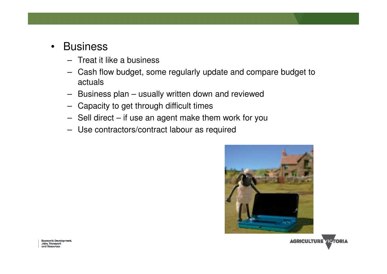- •**Business** 
	- Treat it like a business
	- Cash flow budget, some regularly update and compare budget to actuals
	- Business plan usually written down and reviewed
	- Capacity to get through difficult times
	- Sell direct if use an agent make them work for you
	- Use contractors/contract labour as required



Economic Development, Jobs, Transport